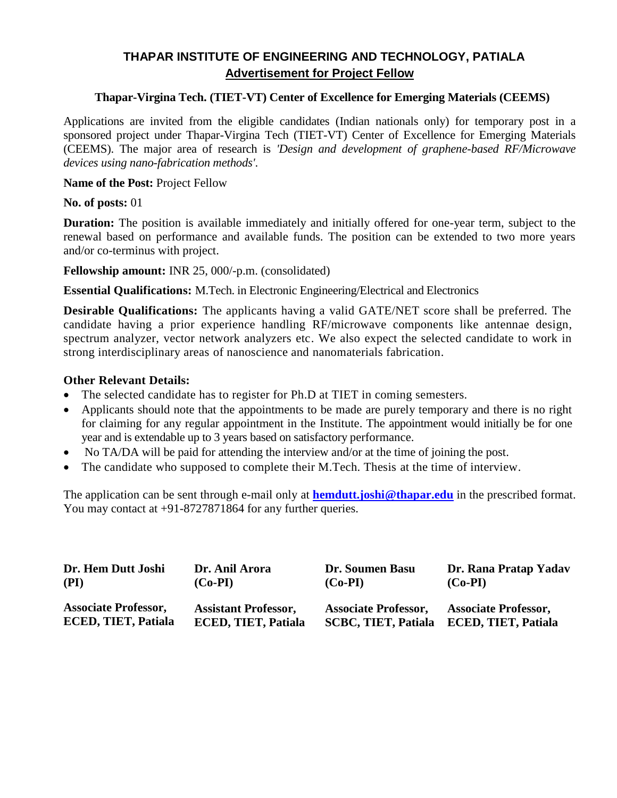# **THAPAR INSTITUTE OF ENGINEERING AND TECHNOLOGY, PATIALA Advertisement for Project Fellow**

## **Thapar-Virgina Tech. (TIET-VT) Center of Excellence for Emerging Materials (CEEMS)**

Applications are invited from the eligible candidates (Indian nationals only) for temporary post in a sponsored project under Thapar-Virgina Tech (TIET-VT) Center of Excellence for Emerging Materials (CEEMS). The major area of research is *'Design and development of graphene-based RF/Microwave devices using nano-fabrication methods'*.

## **Name of the Post:** Project Fellow

**No. of posts:** 01

**Duration:** The position is available immediately and initially offered for one-year term, subject to the renewal based on performance and available funds. The position can be extended to two more years and/or co-terminus with project.

**Fellowship amount:** INR 25, 000/-p.m. (consolidated)

**Essential Qualifications:** M.Tech. in Electronic Engineering/Electrical and Electronics

**Desirable Qualifications:** The applicants having a valid GATE/NET score shall be preferred. The candidate having a prior experience handling RF/microwave components like antennae design, spectrum analyzer, vector network analyzers etc. We also expect the selected candidate to work in strong interdisciplinary areas of nanoscience and nanomaterials fabrication.

### **Other Relevant Details:**

- The selected candidate has to register for Ph.D at TIET in coming semesters.
- Applicants should note that the appointments to be made are purely temporary and there is no right for claiming for any regular appointment in the Institute. The appointment would initially be for one year and is extendable up to 3 years based on satisfactory performance.
- No TA/DA will be paid for attending the interview and/or at the time of joining the post.
- The candidate who supposed to complete their M.Tech. Thesis at the time of interview.

The application can be sent through e-mail only at **hemdutt.joshi@thapar.edu** in the prescribed format. You may contact at  $+91-8727871864$  for any further queries.

| Dr. Hem Dutt Joshi          | Dr. Anil Arora              | Dr. Soumen Basu             | Dr. Rana Pratap Yadav       |  |
|-----------------------------|-----------------------------|-----------------------------|-----------------------------|--|
| (PI)                        | $(Co-PI)$                   | $(Co-PI)$                   | $(Co-PI)$                   |  |
| <b>Associate Professor,</b> | <b>Assistant Professor,</b> | <b>Associate Professor,</b> | <b>Associate Professor,</b> |  |
| <b>ECED, TIET, Patiala</b>  | <b>ECED, TIET, Patiala</b>  | <b>SCBC, TIET, Patiala</b>  | <b>ECED, TIET, Patiala</b>  |  |